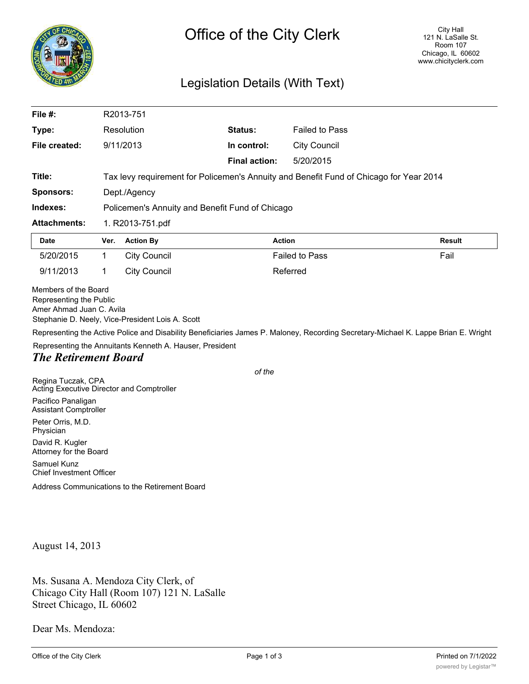

## Legislation Details (With Text)

| File $#$ :                                                                  |            | R2013-751                                                                              |                      |                       |                                                                                                                                    |  |
|-----------------------------------------------------------------------------|------------|----------------------------------------------------------------------------------------|----------------------|-----------------------|------------------------------------------------------------------------------------------------------------------------------------|--|
| Type:                                                                       | Resolution |                                                                                        | <b>Status:</b>       | <b>Failed to Pass</b> |                                                                                                                                    |  |
| File created:                                                               | 9/11/2013  |                                                                                        | In control:          | <b>City Council</b>   |                                                                                                                                    |  |
|                                                                             |            |                                                                                        | <b>Final action:</b> | 5/20/2015             |                                                                                                                                    |  |
| Title:                                                                      |            | Tax levy requirement for Policemen's Annuity and Benefit Fund of Chicago for Year 2014 |                      |                       |                                                                                                                                    |  |
| <b>Sponsors:</b>                                                            |            | Dept./Agency                                                                           |                      |                       |                                                                                                                                    |  |
| Indexes:                                                                    |            | Policemen's Annuity and Benefit Fund of Chicago                                        |                      |                       |                                                                                                                                    |  |
| <b>Attachments:</b>                                                         |            | 1. R2013-751.pdf                                                                       |                      |                       |                                                                                                                                    |  |
| <b>Date</b>                                                                 | Ver.       | <b>Action By</b>                                                                       | <b>Action</b>        |                       | <b>Result</b>                                                                                                                      |  |
| 5/20/2015                                                                   | 1          | <b>City Council</b>                                                                    |                      | <b>Failed to Pass</b> | Fail                                                                                                                               |  |
| 9/11/2013                                                                   | 1          | <b>City Council</b>                                                                    |                      | Referred              |                                                                                                                                    |  |
| Members of the Board<br>Representing the Public<br>Amer Ahmad Juan C. Avila |            | Stephanie D. Neely, Vice-President Lois A. Scott                                       |                      |                       | Representing the Active Police and Disability Beneficiaries James P. Maloney, Recording Secretary-Michael K. Lappe Brian E. Wright |  |
| <b>The Retirement Board</b>                                                 |            | Representing the Annuitants Kenneth A. Hauser, President                               |                      |                       |                                                                                                                                    |  |
|                                                                             |            |                                                                                        | of the               |                       |                                                                                                                                    |  |
| Regina Tuczak, CPA<br>Acting Executive Director and Comptroller             |            |                                                                                        |                      |                       |                                                                                                                                    |  |
| Pacifico Panaligan<br><b>Assistant Comptroller</b>                          |            |                                                                                        |                      |                       |                                                                                                                                    |  |
| Peter Orris, M.D.<br>Physician                                              |            |                                                                                        |                      |                       |                                                                                                                                    |  |
|                                                                             |            |                                                                                        |                      |                       |                                                                                                                                    |  |

David R. Kugler Attorney for the Board Samuel Kunz

Chief Investment Officer

Address Communications to the Retirement Board

August 14, 2013

Ms. Susana A. Mendoza City Clerk, of Chicago City Hall (Room 107) 121 N. LaSalle Street Chicago, IL 60602

Dear Ms. Mendoza: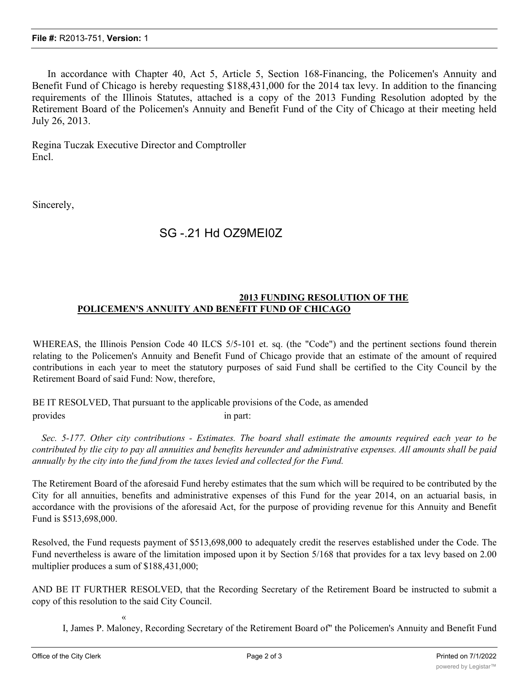In accordance with Chapter 40, Act 5, Article 5, Section 168-Financing, the Policemen's Annuity and Benefit Fund of Chicago is hereby requesting \$188,431,000 for the 2014 tax levy. In addition to the financing requirements of the Illinois Statutes, attached is a copy of the 2013 Funding Resolution adopted by the Retirement Board of the Policemen's Annuity and Benefit Fund of the City of Chicago at their meeting held July 26, 2013.

Regina Tuczak Executive Director and Comptroller Encl.

Sincerely,

## SG -.21 Hd OZ9MEI0Z

## **2013 FUNDING RESOLUTION OF THE POLICEMEN'S ANNUITY AND BENEFIT FUND OF CHICAGO**

WHEREAS, the Illinois Pension Code 40 ILCS 5/5-101 et. sq. (the "Code") and the pertinent sections found therein relating to the Policemen's Annuity and Benefit Fund of Chicago provide that an estimate of the amount of required contributions in each year to meet the statutory purposes of said Fund shall be certified to the City Council by the Retirement Board of said Fund: Now, therefore,

BE IT RESOLVED, That pursuant to the applicable provisions of the Code, as amended provides in part:

Sec. 5-177. Other city contributions - Estimates. The board shall estimate the amounts required each year to be contributed by tlie city to pay all annuities and benefits hereunder and administrative expenses. All amounts shall be paid *annually by the city into the fund from the taxes levied and collected for the Fund.*

The Retirement Board of the aforesaid Fund hereby estimates that the sum which will be required to be contributed by the City for all annuities, benefits and administrative expenses of this Fund for the year 2014, on an actuarial basis, in accordance with the provisions of the aforesaid Act, for the purpose of providing revenue for this Annuity and Benefit Fund is \$513,698,000.

Resolved, the Fund requests payment of \$513,698,000 to adequately credit the reserves established under the Code. The Fund nevertheless is aware of the limitation imposed upon it by Section 5/168 that provides for a tax levy based on 2.00 multiplier produces a sum of \$188,431,000;

AND BE IT FURTHER RESOLVED, that the Recording Secretary of the Retirement Board be instructed to submit a copy of this resolution to the said City Council.

«

I, James P. Maloney, Recording Secretary of the Retirement Board of" the Policemen's Annuity and Benefit Fund